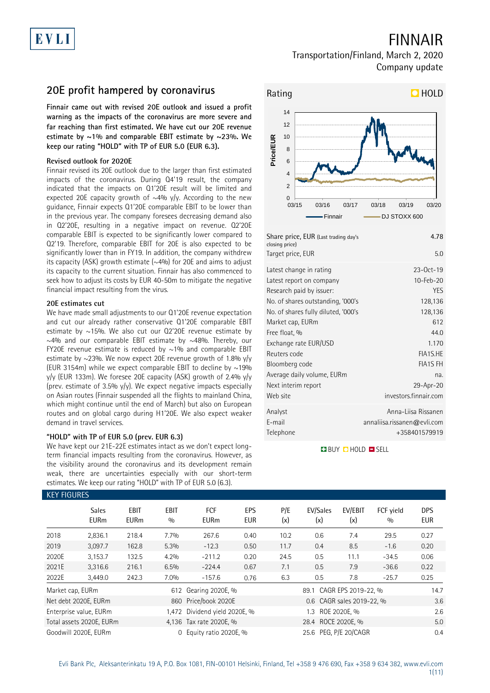## FINNAIR

### Transportation/Finland, March 2, 2020 Company update

### **20E profit hampered by coronavirus**

**Finnair came out with revised 20E outlook and issued a profit warning as the impacts of the coronavirus are more severe and far reaching than first estimated. We have cut our 20E revenue estimate by ~1% and comparable EBIT estimate by ~23%. We keep our rating "HOLD" with TP of EUR 5.0 (EUR 6.3).** 

### **Revised outlook for 2020E**

Finnair revised its 20E outlook due to the larger than first estimated impacts of the coronavirus. During Q4'19 result, the company indicated that the impacts on Q1'20E result will be limited and expected 20E capacity growth of  $\sim$ 4% y/y. According to the new guidance, Finnair expects Q1'20E comparable EBIT to be lower than in the previous year. The company foresees decreasing demand also in Q2'20E, resulting in a negative impact on revenue. Q2'20E comparable EBIT is expected to be significantly lower compared to Q2'19. Therefore, comparable EBIT for 20E is also expected to be significantly lower than in FY19. In addition, the company withdrew its capacity (ASK) growth estimate  $(\sim4\%)$  for 20E and aims to adjust its capacity to the current situation. Finnair has also commenced to seek how to adjust its costs by EUR 40-50m to mitigate the negative financial impact resulting from the virus.

### **20E estimates cut**

We have made small adjustments to our Q1'20E revenue expectation and cut our already rather conservative Q1'20E comparable EBIT estimate by  $\sim$ 15%. We also cut our Q2'20E revenue estimate by  $\sim$ 4% and our comparable EBIT estimate by  $\sim$ 48%. Thereby, our FY20E revenue estimate is reduced by  $\sim$ 1% and comparable EBIT estimate by ~23%. We now expect 20E revenue growth of 1.8% y/y (EUR 3154m) while we expect comparable EBIT to decline by  $\sim$ 19% y/y (EUR 133m). We foresee 20E capacity (ASK) growth of 2.4% y/y (prev. estimate of 3.5%  $y/y$ ). We expect negative impacts especially on Asian routes (Finnair suspended all the flights to mainland China, which might continue until the end of March) but also on European routes and on global cargo during H1'20E. We also expect weaker demand in travel services.

### **"HOLD" with TP of EUR 5.0 (prev. EUR 6.3)**

We have kept our 21E-22E estimates intact as we don't expect longterm financial impacts resulting from the coronavirus. However, as the visibility around the coronavirus and its development remain weak, there are uncertainties especially with our short-term estimates. We keep our rating "HOLD" with TP of EUR 5.0 (6.3).



| Share price, EUR (Last trading day's<br>closing price) | 4.78                        |
|--------------------------------------------------------|-----------------------------|
| Target price, EUR                                      | 5.0                         |
| Latest change in rating                                | $23-0ct-19$                 |
| Latest report on company                               | 10-Feb-20                   |
| Research paid by issuer:                               | <b>YES</b>                  |
| No. of shares outstanding, '000's                      | 128,136                     |
| No. of shares fully diluted, '000's                    | 128,136                     |
| Market cap, EURm                                       | 612                         |
| Free float, %                                          | 44.0                        |
| Exchange rate EUR/USD                                  | 1.170                       |
| Reuters code                                           | FIA1S.HE                    |
| Bloomberg code                                         | <b>FIA1S FH</b>             |
| Average daily volume, EURm                             | na.                         |
| Next interim report                                    | 29-Apr-20                   |
| Web site                                               | investors.finnair.com       |
| Analyst                                                | Anna-Liisa Rissanen         |
| E-mail                                                 | annaliisa.rissanen@evli.com |
| Telephone                                              | +358401579919               |
|                                                        |                             |

**BUY CHOLD ESELL** 

|                                  | <b>KEY FIGURES</b>          |                            |                    |                                                      |                          |            |                          |                           |                  |                          |  |
|----------------------------------|-----------------------------|----------------------------|--------------------|------------------------------------------------------|--------------------------|------------|--------------------------|---------------------------|------------------|--------------------------|--|
|                                  | <b>Sales</b><br><b>EURm</b> | <b>EBIT</b><br><b>EURm</b> | <b>EBIT</b><br>0/0 | FCF<br><b>EURm</b>                                   | <b>EPS</b><br><b>EUR</b> | P/E<br>(x) | EV/Sales<br>(x)          | EV/EBIT<br>(x)            | FCF vield<br>0/0 | <b>DPS</b><br><b>EUR</b> |  |
| 2018                             | 2,836.1                     | 218.4                      | 7.7%               | 267.6                                                | 0.40                     | 10.2       | 0.6                      | 7.4                       | 29.5             | 0.27                     |  |
| 2019                             | 3,097.7                     | 162.8                      | 5.3%               | $-12.3$                                              | 0.50                     | 11.7       | 0.4                      | 8.5                       | $-1.6$           | 0.20                     |  |
| 2020E                            | 3,153.7                     | 132.5                      | 4.2%               | $-211.2$                                             | 0.20                     | 24.5       | 0.5                      | 11.1                      | $-34.5$          | 0.06                     |  |
| 2021E                            | 3,316.6                     | 216.1                      | 6.5%               | $-224.4$                                             | 0.67                     | 7.1        | 0.5                      | 7.9                       | $-36.6$          | 0.22                     |  |
| 2022E                            | 3,449.0                     | 242.3                      | 7.0%               | $-157.6$                                             | 0.76                     | 6.3        | 0.5                      | 7.8                       | $-25.7$          | 0.25                     |  |
| Market cap, EURm                 |                             |                            | 612                | Gearing 2020E, %                                     |                          |            | 89.1 CAGR EPS 2019-22, % |                           |                  |                          |  |
|                                  | Net debt 2020E, EURm        |                            |                    | 860 Price/book 2020E                                 |                          |            |                          | 0.6 CAGR sales 2019-22, % |                  | 3.6                      |  |
| Enterprise value, EURm           |                             |                            |                    | 1,472 Dividend yield 2020E, %<br>ROE 2020E, %<br>1.3 |                          |            |                          |                           |                  | 2.6                      |  |
| Total assets 2020E, EURm         |                             |                            |                    | 28.4 ROCE 2020E, %<br>4,136 Tax rate 2020E, %        |                          |            |                          |                           | 5.0              |                          |  |
| Goodwill 2020E, EURm<br>$\Omega$ |                             |                            |                    | 25.6 PEG, P/E 20/CAGR<br>Equity ratio 2020E, %       |                          |            |                          |                           |                  | 0.4                      |  |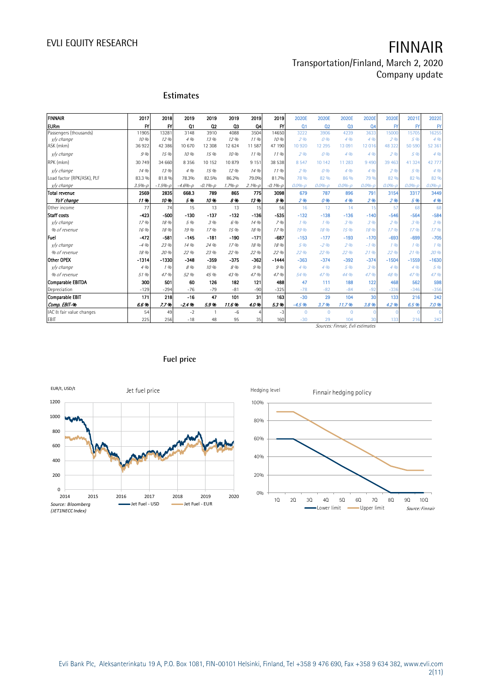# EVLI EQUITY RESEARCH **FINNAIR**

### Transportation/Finland, March 2, 2020 Company update

### **Estimates**

| <b>FINNAIR</b>             | 2017       | 2018        | 2019              | 2019        | 2019       | 2019           | 2019        | 2020E           | 2020E      | 2020E                            | 2020E          | 2020E             | 2021E             | 2022E       |
|----------------------------|------------|-------------|-------------------|-------------|------------|----------------|-------------|-----------------|------------|----------------------------------|----------------|-------------------|-------------------|-------------|
| <b>EURm</b>                | FY         | FY          | Q <sub>1</sub>    | $_{02}$     | Q3         | 04             | FY          | Q <sub>1</sub>  | 02         | Q <sub>3</sub>                   | Q <sub>4</sub> | $\mathsf{F}$      | $\mathsf{F}$      | $_{\rm FY}$ |
| Passengers (thousands)     | 11905      | 13281       | 3148              | 3910        | 4088       | 3504           | 14650       | 3222            | 3906       | 4239                             | 3633           | 15000             | 15705             | 1625        |
| v/v change                 | 10 %       | 12%         | 4.9h              | 1.3%        | 12 %       | 1196           | 10 %        | 296             | 0%         | 4%                               | 4%             | 296               | 5%                | 4%          |
| ASK (mkm)                  | 36922      | 42 38 6     | 10 670            | 12 308      | 12 624     | 11 587         | 47 190      | 10 9 20         | 12 2 9 5   | 13 091                           | 12 016         | 48 3 22           | 50 590            | 52 361      |
| v/v change                 | 9%         | 15%         | 10 %              | 15 %        | 10 %       | 1196           | 1196        | 296             | 0%         | 4%                               | 4 %            | 296               | 5 %               | 4%          |
| RPK (mkm)                  | 30 749     | 34 660      | 8 3 5 6           | 10 152      | 10879      | 9 1 5 1        | 38 538      | 8 5 4 7         | 10 142     | 11 283                           | 9 4 9 0        | 39 463            | 41 324            | 42 777      |
| v/v change                 | 14 %       | 13 %        | 4 %               | 15 %        | 12.96      | 14 %           | 1196        | 296             | 0%         | 4%                               | 4%             | 296               | 5%                | 4%          |
| Load factor (RPK/ASK), PLF | 83.3 %     | 81.8%       | 78.3%             | 82.5%       | 86.2%      | 79.0%          | 81.7%       | 78 %            | 82 %       | 86 %                             | 79 %           | 82%               | 82 %              | 82 %        |
| v/v change                 | $3.5% - p$ | $-1.5% - p$ | $-4.6% - p$       | $-0.1% - p$ | $1.7% - p$ | $2.1% - p$     | $-0.1% - p$ | $0.0% - D$      | $0.0% - p$ | $0.0% - D$                       | $0.0% - D$     | $0.0% - L$        | $0.0% - D$        | $0.0% - 1$  |
| Total revenue              | 2569       | 2835        | 668.3             | 789         | 865        | 775            | 3098        | 679             | 787        | 896                              | 791            | 3154              | 3317              | 3449        |
| YoY change                 | 11%        | 10%         | 5%                | 10%         | 8%         | 13%            | 9%          | 2 <sub>96</sub> | 0%         | 4 %                              | 296            | 296               | 5%                | 4%          |
| Other income               | 77         | 74          | 15                | 13          | 13         | 15             | 56          | 16              | 12         | 14                               | 15             | 57                | 68                | 68          |
| <b>Staff</b> costs         | $-423$     | $-500$      | $-130$            | $-137$      | $-132$     | $-136$         | $-535$      | $-132$          | $-138$     | $-136$                           | $-140$         | $-546$            | $-564$            | $-584$      |
| v/v change                 | 17%        | 18 %        | 5 %               | 3 %         | 6 %        | 14 %           | 7%          | 196             | 196        | 3.96                             | 3 %            | 296               | 3%                | 3%          |
| % of revenue               | 16%        | 18%         | 19.9 <sub>h</sub> | 17%         | 15%        | 18 %           | 17%         | 19%             | 18 %       | 15 %                             | 18%            | 17.9 <sub>h</sub> | 17.9 <sub>h</sub> | 17.96       |
| Fuel                       | $-472$     | $-581$      | $-145$            | $-181$      | $-190$     | $-171$         | $-687$      | $-153$          | $-177$     | $-193$                           | $-170$         | $-693$            | $-699$            | $-705$      |
| v/v change                 | $-4.96$    | 23 %        | 14 %              | 24 %        | 17%        | 18 %           | 18 %        | 5 %             | $-2.96$    | 296                              | $-1.96$        | 196               | 196               | 196         |
| % of revenue               | 18 %       | 20%         | 22 %              | 23%         | 22 %       | 22 %           | 22 %        | 22 %            | 22 %       | 22 %                             | 21%            | 22 %              | 21.9 <sub>h</sub> | 20 %        |
| Other OPEX                 | $-1314$    | $-1330$     | $-348$            | -359        | $-375$     | $-362$         | $-1444$     | $-363$          | $-374$     | $-392$                           | $-374$         | $-1504$           | $-1559$           | $-1630$     |
| v/v change                 | 4 %        | 1%          | 8 %               | 10%         | 8 %        | 9%             | 9%          | 4.96            | 4%         | 5 %                              | 3%             | 4%                | 4%                | 5 %         |
| % of revenue               | 51 %       | 47%         | 52 %              | 45 %        | 43 %       | 47 %           | 47%         | 54 %            | 47%        | 44 %                             | 47 %           | 48 %              | 47%               | 47 %        |
| Comparable EBITDA          | 300        | 501         | 60                | 126         | 182        | 121            | 488         | 47              | 111        | 188                              | 122            | 468               | 562               | 598         |
| Depreciation               | $-129$     | $-294$      | $-76$             | $-79$       | $-81$      | $-90$          | $-325$      | $-78$           | $-82$      | $-84$                            | $-92$          | $-336$            | $-346$            | $-356$      |
| Comparable EBIT            | 171        | 218         | $-16$             | 47          | 101        | 31             | 163         | $-30$           | 29         | 104                              | 30             | 133               | 216               | 242         |
| Comp. EBIT-%               | 6.6%       | 7.7%        | $-2.4%$           | 5.9%        | 11.6%      | 4.0%           | 5.3%        | $-4.5%$         | 3.7%       | 11.7%                            | 3.8%           | 4.2%              | 6.5%              | 7.0%        |
| IAC & fair value changes   | 54         | 49          | $-2$              |             | $-6$       | $\overline{4}$ | $-3$        | $\mathbf{0}$    | $\Omega$   | $\Omega$                         |                |                   |                   |             |
| <b>EBIT</b>                | 225        | 256         | $-18$             | 48          | 95         | 35             | 160         | $-30$           | 29         | 104                              | 30             | 133               | 216               | 242         |
|                            |            |             |                   |             |            |                |             |                 |            | Sources: Finnair, Evli estimates |                |                   |                   |             |



### **Fuel price**

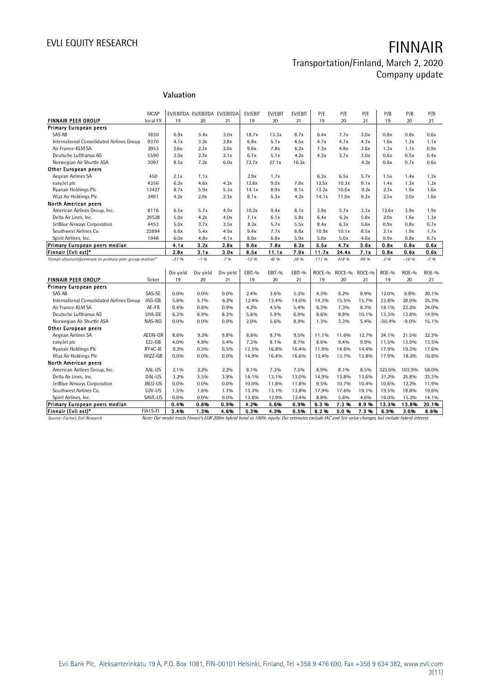# EVLI EQUITY RESEARCH **FINNAIR**

### Transportation/Finland, March 2, 2020 Company update

### **Valuation**

|                                                        |                         | Valuation    |                                     |              |               |               |               |               |               |              |               |              |              |
|--------------------------------------------------------|-------------------------|--------------|-------------------------------------|--------------|---------------|---------------|---------------|---------------|---------------|--------------|---------------|--------------|--------------|
|                                                        |                         |              |                                     |              |               |               |               |               |               |              |               |              |              |
|                                                        |                         |              |                                     |              |               |               |               |               |               |              |               |              |              |
| <b>FINNAIR PEER GROUP</b>                              | <b>MCAP</b><br>local FX | 19           | EV/EBITDA EV/EBITDA EV/EBITDA<br>20 | 21           | EV/EBIT<br>19 | EV/EBIT<br>20 | EV/EBIT<br>21 | P/E<br>19     | P/E<br>20     | P/E<br>21    | P/B<br>19     | P/B<br>20    | P/B<br>21    |
| <b>Primary European peers</b>                          |                         |              |                                     |              |               |               |               |               |               |              |               |              |              |
| SAS AB                                                 | 3830                    | 6.9x         | 3.4x                                | 3.0x         | 18.7x         | 13.3x         | 8.7x          | 6.4x          | 7.7x          | 3.0x         | 0.8x          | 0.8x         | 0.6x         |
| International Consolidated Airlines Group              | 9370                    | 4.1x         | 3.2x                                | 2.8x         | 6.8x          | 5.1x          | 4.5x          | 4.7x          | 4.7x          | 4.3x         | 1.6x          | 1.3x         | 1.1x         |
| Air France-KLM SA                                      | 2953                    | 2.6x         | 2.3x                                | 2.0x         | 9.6x          | 7.8x          | 6.2x          | 7.3x          | 4.8x          | 3.6x         | 1.3x          |              | 0.9x         |
| Deutsche Lufthansa AG                                  | 5590                    | 3.0x         | 2.3x                                | 2.1x         | 6.7x          | 5.1x          | 4.2x          | 4.3x          | 3.7x          | 3.0x         | 0.6x          | 1.1x<br>0.5x | 0.4x         |
| Norwegian Air Shuttle ASA                              | 3097                    | 8.5x         | 7.2x                                | 6.0x         | 72.7x         | 27.1x         | 16.2x         |               |               | 4.2x         | 0.6x          | 0.7x         | 0.6x         |
|                                                        |                         |              |                                     |              |               |               |               |               |               |              |               |              |              |
| Other European peers<br>Aegean Airlines SA             |                         |              |                                     |              |               |               |               |               |               |              |               |              |              |
|                                                        | 450<br>4356             | 2.1x<br>6.2x | 1.1x<br>4.6x                        |              | 2.9x<br>12.8x | 1.7x<br>9.0x  | 7.8x          | 6.3x<br>12.5x | 6.5x<br>10.3x | 5.7x<br>9.1x | 1.5x<br>1.4x  | 1.4x<br>1.3x | 1.3x<br>1.2x |
| easyJet plc                                            | 13427                   | 8.7x         | 5.9x                                | 4.2x<br>5.3x | 14.1x         | 8.9x          | 8.1x          | 13.2x         | 10.0x         | 9.2x         | 2.3x          | 1.9x         | 1.6x         |
| Ryanair Holdings Plc                                   |                         |              |                                     |              |               |               |               |               |               |              |               |              |              |
| Wizz Air Holdings Plc                                  | 2491                    | 4.2x         | 2.9x                                | 2.3x         | 8.1x          | 5.3x          | 4.2x          | 14.1x         | 11.0x         | 9.3x         | 2.5x          | 2.0x         | 1.6x         |
| North American peers                                   |                         |              |                                     |              |               |               |               |               |               |              |               |              |              |
| American Airlines Group, Inc.<br>Delta Air Lines, Inc. | 8116<br>29528           | 6.5x<br>5.0x | 5.7x<br>4.2x                        | 4.9x         | 10.2x<br>7.1x | 9.4x<br>6.1x  | 8.1x<br>5.8x  | 3.9x<br>6.4x  | 3.7x<br>6.2x  | 3.3x<br>5.8x | 12.6x<br>2.0x | 3.9x<br>1.6x | 1.9x<br>1.3x |
|                                                        |                         |              |                                     | 4.0x         |               |               |               |               |               |              |               |              |              |
| JetBlue Airways Corporation                            | 4453                    | 5.0x         | 3.7x                                | 3.5x         | 8.2x          | 5.7x          | 5.5x          | 8.4x          | 6.3x          | 5.6x         | 0.9x          | 0.8x         | 0.7x         |
| Southwest Airlines Co.                                 | 23894                   | 6.6x         | 5.4x                                | 4.9x         | 9.4x          | 7.7x          | 6.8x          | 10.9x         | 10.1x         | 8.5x         | 2.1x          | 1.9x         | 1.7x         |
| Spirit Airlines, Inc.                                  | 1948                    | 6.0x<br>4.1x | 4.8x                                | 4.1x<br>2.8x | 8.6x          | 6.8x<br>7.8x  | 5.9x<br>6.2x  | 5.6x<br>5.5x  | 5.0x<br>4.7x  | 4.6x<br>3.6x | 0.9x<br>0.8x  | 0.8x         | 0.7x         |
| Primary European peers median<br>Finnair (Evli est)*   |                         | 2.8x         | 3.2x<br>3.1x                        | 3.0x         | 9.6x<br>8.5x  | 11.1x         | 7.9x          | 11.7x         | 24.4x         | 7.1x         | 0.8x          | 0.8x<br>0.6x | 0.6x<br>0.6x |
| Finnair discount/premium to primary peer group median* |                         | $-3196$      | $-1.96$                             | 796          | $-12.96$      | 42 %          | 28 %          | 111 %         | 418 %         | 99 %         | 296           | $-16.96$     | $-7.96$      |
|                                                        |                         |              |                                     |              |               |               |               |               |               |              |               |              |              |
|                                                        |                         | Div yield    | Div yield                           | Div yield    | EBIT-%        | EBIT-%        | EBIT-%        | ROCE-%        | ROCE-%        | ROCE-%       | $ROE-0$       | ROE-%        | $ROE-0$      |
| <b>FINNAIR PEER GROUP</b>                              | Ticker                  | 19           | 20                                  | 21           | 19            | 20            | 21            | 19            | 20            | 21           | 19            | 20           | 21           |
| <b>Primary European peers</b>                          |                         |              |                                     |              |               |               |               |               |               |              |               |              |              |
| SAS AB                                                 | SAS-SE                  | 0.0%         | $0.0\%$                             | 0.0%         | 2.4%          | 3.6%          | 5.3%          | 4.3%          | 6.2%          | 8.9%         | 12.0%         | 9.8%         | 20.1%        |
| International Consolidated Airlines Group              | IAG-GB                  | 5.6%         | 5.7%                                | 6.2%         | 12.4%         | 13.4%         | 14.0%         | 14.3%         | 15.5%         | 15.7%        | 33.8%         | 28.0%        | 25.3%        |
| Air France-KLM SA                                      | AF-FR                   | 0.4%         | 0.6%                                | 0.9%         | 4.2%          | 4.5%          | 5.4%          | 6.3%          | 7.3%          | 8.3%         | 18.1%         | 23.2%        | 24.0%        |
| Deutsche Lufthansa AG                                  | LHA-DE                  | 6.3%         | 6.9%                                | 8.3%         | 5.6%          | 5.9%          | 6.9%          | 8.6%          | 8.8%          | 10.1%        | 13.3%         | 13.8%        | 14.9%        |
| Norwegian Air Shuttle ASA                              | NAS-NO                  | 0.0%         | $0.0\%$                             | $0.0\%$      | 2.0%          | 5.6%          | 8.9%          | 1.3%          | 3.3%          | 5.4%         | $-50.4%$      | $-9.0%$      | 15.1%        |
| Other European peers                                   |                         |              |                                     |              |               |               |               |               |               |              |               |              |              |
| Aegean Airlines SA                                     | AEGN-GR                 | 8.6%         | 9.2%                                | 9.8%         | 8.6%          | 8.7%          | 9.5%          | 11.1%         | 11.6%         | 12.7%        | 24.1%         | 21.5%        | 22.3%        |
| easyJet plc                                            | EZJ-GB                  | 4.0%         | 4.8%                                | 5.4%         | 7.3%          | 8.1%          | 8.7%          | 8.6%          | 9.4%          | 9.9%         | 11.5%         | 13.0%        | 13.5%        |
| Ryanair Holdings Plc                                   | RY4C-IE                 | 0.2%         | 0.3%                                | 0.5%         | 13.5%         | 16.8%         | 16.4%         | 11.9%         | 14.6%         | 14.4%        | 17.9%         | 19.3%        | 17.6%        |
| Wizz Air Holdings Plc                                  | WIZZ-GB                 | $0.0\%$      | $0.0\%$                             | $0.0\%$      | 14.9%         | 16.4%         | 16.6%         | 12.4%         | 13.7%         | 13.8%        | 17.9%         | 18.2%        | 16.8%        |
| North American peers                                   |                         |              |                                     |              |               |               |               |               |               |              |               |              |              |
| American Airlines Group, Inc.                          | AAL-US                  | $2.1\%$      | 2.2%                                | 2.2%         | $8.1\%$       | 7.3%          | 7.5%          | 8.9%          | 8.1%          | 8.5%         | 323.0%        | 103.9%       | 58.0%        |
| Delta Air Lines, Inc.                                  | DAL-US                  | 3.2%         | 3.5%                                | 3.9%         | 14.1%         | 13.1%         | 13.0%         | 14.9%         | 13.8%         | 13.6%        | 31.2%         | 25.8%        | 23.3%        |
| JetBlue Airways Corporation                            | JBLU-US                 | $0.0\%$      | $0.0\%$                             | $0.0\%$      | 10.0%         | 11.8%         | 11.8%         | 9.5%          | 10.7%         | 10.4%        | 10.6%         | 12.2%        | 11.9%        |
| Southwest Airlines Co.                                 | LUV-US                  | 1.5%         | 1.6%                                | 1.7%         | 13.3%         | 13.1%         | 13.8%         | 17.9%         | 17.6%         | 19.1%        | 19.5%         | 18.8%        | 19.6%        |
| Spirit Airlines, Inc.                                  | SAVE-US                 | 0.0%         | $0.0\%$                             | $0.0\%$      | 13.6%         | 12.9%         | 12.4%         | 8.8%          | 5.8%          | 4.6%         | 16.0%         | 15.2%        | 14.1%        |
| Primary European peers median                          |                         | 0.4%         | 0.6%                                | 0.9%         | 4.2%          | 5.6%          | 6.9%          | 6.3%          | 7.3%          | 8.9%         | 13.3%         | 13.8%        | 20.1%        |
| Finnair (Evli est)*                                    | FIA1S-FI                | 3.4%         | 1.3%                                | 4.6%         | 5.3%          | 4.2%          | 6.5%          | 6.2%          | 5.0%          | 7.3%         | 6.9%          | 2.6%         | 8.6%         |
|                                                        |                         |              |                                     |              |               |               |               |               |               |              |               |              |              |

Source: Factset, Evli Research Note: Our model treats Finnair's EUR 200m hybrid bond as 100% equity. Our estimates exclude IAC and fair value changes, but include hybrid interest.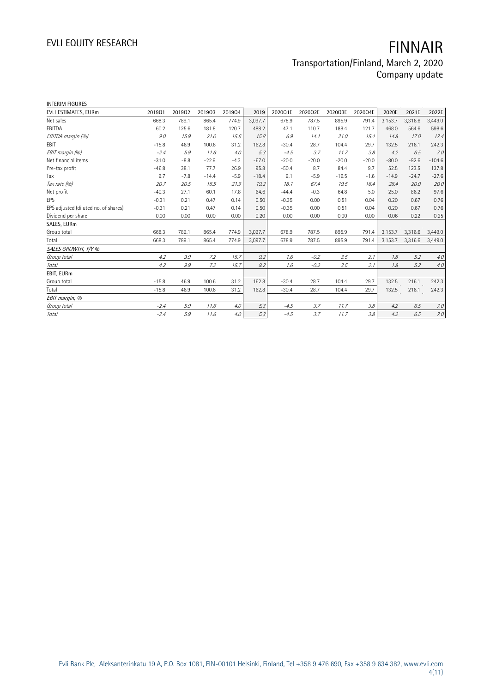| <b>INTERIM FIGURES</b>               |         |        |         |        |         |         |         |         |         |         |         |          |
|--------------------------------------|---------|--------|---------|--------|---------|---------|---------|---------|---------|---------|---------|----------|
| EVLI ESTIMATES, EURm                 | 201901  | 201902 | 201903  | 201904 | 2019    | 2020Q1E | 2020Q2E | 2020Q3E | 2020Q4E | 2020E   | 2021E   | 2022E    |
| Net sales                            | 668.3   | 789.1  | 865.4   | 774.9  | 3.097.7 | 678.9   | 787.5   | 895.9   | 791.4   | 3,153.7 | 3,316.6 | 3,449.0  |
| EBITDA                               | 60.2    | 125.6  | 181.8   | 120.7  | 488.2   | 47.1    | 110.7   | 188.4   | 121.7   | 468.0   | 564.6   | 598.6    |
| EBITDA margin (%)                    | 9.0     | 15.9   | 21.0    | 15.6   | 15.8    | 6.9     | 14.1    | 21.0    | 15.4    | 14.8    | 17.0    | 17.4     |
| <b>FBIT</b>                          | $-15.8$ | 46.9   | 100.6   | 31.2   | 162.8   | $-30.4$ | 28.7    | 104.4   | 29.7    | 132.5   | 216.1   | 242.3    |
| EBIT margin (%)                      | $-2.4$  | 5.9    | 11.6    | 4.0    | 5.3     | $-4.5$  | 3.7     | 11.7    | 3.8     | 4.2     | 6.5     | 7.0      |
| Net financial items                  | $-31.0$ | $-8.8$ | $-22.9$ | $-4.3$ | $-67.0$ | $-20.0$ | $-20.0$ | $-20.0$ | $-20.0$ | $-80.0$ | $-92.6$ | $-104.6$ |
| Pre-tax profit                       | $-46.8$ | 38.1   | 77.7    | 26.9   | 95.8    | $-50.4$ | 8.7     | 84.4    | 9.7     | 52.5    | 123.5   | 137.8    |
| Tax                                  | 9.7     | $-7.8$ | $-14.4$ | $-5.9$ | $-18.4$ | 9.1     | $-5.9$  | $-16.5$ | $-1.6$  | $-14.9$ | $-24.7$ | $-27.6$  |
| Tax rate (%)                         | 20.7    | 20.5   | 18.5    | 21.9   | 19.2    | 18.1    | 67.4    | 19.5    | 16.4    | 28.4    | 20.0    | 20.0     |
| Net profit                           | $-40.3$ | 27.1   | 60.1    | 17.8   | 64.6    | $-44.4$ | $-0.3$  | 64.8    | 5.0     | 25.0    | 86.2    | 97.6     |
| EPS                                  | $-0.31$ | 0.21   | 0.47    | 0.14   | 0.50    | $-0.35$ | 0.00    | 0.51    | 0.04    | 0.20    | 0.67    | 0.76     |
| EPS adjusted (diluted no. of shares) | $-0.31$ | 0.21   | 0.47    | 0.14   | 0.50    | $-0.35$ | 0.00    | 0.51    | 0.04    | 0.20    | 0.67    | 0.76     |
| Dividend per share                   | 0.00    | 0.00   | 0.00    | 0.00   | 0.20    | 0.00    | 0.00    | 0.00    | 0.00    | 0.06    | 0.22    | 0.25     |
| SALES, EURm                          |         |        |         |        |         |         |         |         |         |         |         |          |
| Group total                          | 668.3   | 789.1  | 865.4   | 774.9  | 3,097.7 | 678.9   | 787.5   | 895.9   | 791.4   | 3,153.7 | 3,316.6 | 3,449.0  |
| Total                                | 668.3   | 789.1  | 865.4   | 774.9  | 3,097.7 | 678.9   | 787.5   | 895.9   | 791.4   | 3,153.7 | 3,316.6 | 3,449.0  |
| SALES GROWTH, Y/Y %                  |         |        |         |        |         |         |         |         |         |         |         |          |
| Group total                          | 4.2     | 9.9    | 7.2     | 15.7   | 9.2     | 1.6     | $-0.2$  | 3.5     | 2.1     | 1.8     | 5.2     | 4.0      |
| Total                                | 4.2     | 9.9    | 7.2     | 15.7   | 9.2     | 1.6     | $-0.2$  | 3.5     | 2.1     | 1.8     | 5.2     | $4.0$    |
| EBIT, EURm                           |         |        |         |        |         |         |         |         |         |         |         |          |
| Group total                          | $-15.8$ | 46.9   | 100.6   | 31.2   | 162.8   | $-30.4$ | 28.7    | 104.4   | 29.7    | 132.5   | 216.1   | 242.3    |
| Total                                | $-15.8$ | 46.9   | 100.6   | 31.2   | 162.8   | $-30.4$ | 28.7    | 104.4   | 29.7    | 132.5   | 216.1   | 242.3    |
| EBIT margin, %                       |         |        |         |        |         |         |         |         |         |         |         |          |
| Group total                          | $-2.4$  | 5.9    | 11.6    | 4.0    | 5.3     | $-4.5$  | 3.7     | 11.7    | 3.8     | 4.2     | 6.5     | 7.0      |
| Total                                | $-2.4$  | 5.9    | 11.6    | 4.0    | 5.3     | $-4.5$  | 3.7     | 11.7    | 3.8     | 4.2     | 6.5     | 7.0      |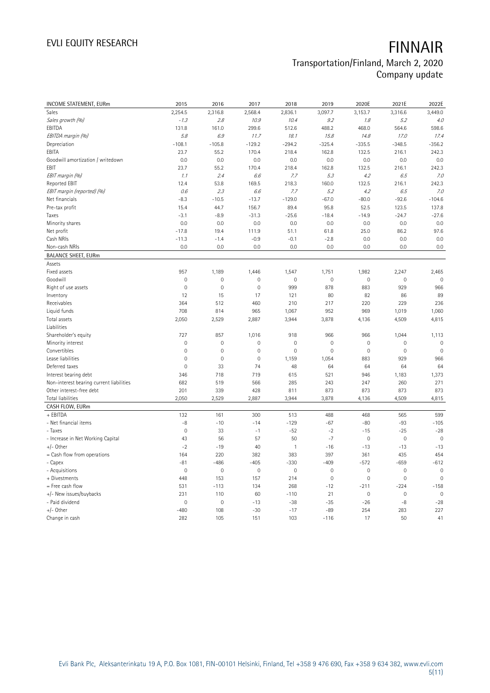| <b>INCOME STATEMENT, EURm</b>            | 2015           | 2016        | 2017                | 2018                | 2019        | 2020E               | 2021E               | 2022E               |
|------------------------------------------|----------------|-------------|---------------------|---------------------|-------------|---------------------|---------------------|---------------------|
| Sales                                    | 2,254.5        | 2,316.8     | 2,568.4             | 2,836.1             | 3,097.7     | 3,153.7             | 3,316.6             | 3,449.0             |
| Sales growth (%)                         | $-1.3$         | 2.8         | 10.9                | 10.4                | 9.2         | 1.8                 | 5.2                 | 4.0                 |
| EBITDA                                   | 131.8          | 161.0       | 299.6               | 512.6               | 488.2       | 468.0               | 564.6               | 598.6               |
| EBITDA margin (%)                        | 5.8            | 6.9         | 11.7                | 18.1                | 15.8        | 14.8                | 17.0                | 17.4                |
| Depreciation                             | $-108.1$       | $-105.8$    | $-129.2$            | $-294.2$            | $-325.4$    | $-335.5$            | $-348.5$            | $-356.2$            |
| EBITA                                    | 23.7           | 55.2        | 170.4               | 218.4               | 162.8       | 132.5               | 216.1               | 242.3               |
| Goodwill amortization / writedown        | 0.0            | 0.0         | 0.0                 | 0.0                 | 0.0         | 0.0                 | 0.0                 | 0.0                 |
| EBIT                                     | 23.7           | 55.2        | 170.4               | 218.4               | 162.8       | 132.5               | 216.1               | 242.3               |
| EBIT margin (%)                          | 1.1            | 2.4         | 6.6                 | 7.7                 | 5.3         | 4.2                 | 6.5                 | 7.0                 |
| <b>Reported EBIT</b>                     | 12.4           | 53.8        | 169.5               | 218.3               | 160.0       | 132.5               | 216.1               | 242.3               |
| EBIT margin (reported) (%)               | 0.6            | 2.3         | 6.6                 | 7.7                 | 5.2         | 4.2                 | 6.5                 | 7.0                 |
| Net financials                           | $-8.3$         | $-10.5$     | $-13.7$             | $-129.0$            | $-67.0$     | $-80.0$             | $-92.6$             | $-104.6$            |
| Pre-tax profit                           | 15.4           | 44.7        | 156.7               | 89.4                | 95.8        | 52.5                | 123.5               | 137.8               |
| Taxes                                    | $-3.1$         | $-8.9$      | $-31.3$             | $-25.6$             | $-18.4$     | $-14.9$             | $-24.7$             | $-27.6$             |
| Minority shares                          | 0.0            | 0.0         | 0.0                 | 0.0                 | 0.0         | 0.0                 | 0.0                 | 0.0                 |
| Net profit                               | $-17.8$        | 19.4        | 111.9               | 51.1                | 61.8        | 25.0                | 86.2                | 97.6                |
| Cash NRIs                                | $-11.3$        | $-1.4$      | $-0.9$              | $-0.1$              | $-2.8$      | 0.0                 | 0.0                 | 0.0                 |
| Non-cash NRIs                            | 0.0            | 0.0         | 0.0                 | 0.0                 | 0.0         | 0.0                 | 0.0                 | 0.0                 |
| <b>BALANCE SHEET, EURm</b>               |                |             |                     |                     |             |                     |                     |                     |
| Assets                                   |                |             |                     |                     |             |                     |                     |                     |
| Fixed assets                             | 957            | 1,189       | 1,446               | 1,547               | 1,751       | 1,982               | 2,247               | 2,465               |
| Goodwill                                 | $\mathbf{0}$   | 0           | $\mathbf 0$         | $\mathbf 0$         | $\mathbb O$ | $\mathbf 0$         | $\mathsf{O}\xspace$ | $\mathbf{0}$        |
| Right of use assets                      | $\mathbf 0$    | $\mathbf 0$ | $\mathsf{O}\xspace$ | 999                 | 878         | 883                 | 929                 | 966                 |
| Inventory                                | 12             | 15          | 17                  | 121                 | 80          | 82                  | 86                  | 89                  |
| Receivables                              | 364            | 512         | 460                 | 210                 | 217         | 220                 | 229                 | 236                 |
| Liquid funds                             | 708            | 814         | 965                 | 1,067               | 952         | 969                 | 1,019               | 1,060               |
| Total assets                             | 2,050          | 2,529       | 2,887               | 3,944               | 3,878       | 4,136               | 4,509               | 4,815               |
| Liabilities                              |                |             |                     |                     |             |                     |                     |                     |
| Shareholder's equity                     | 727            | 857         | 1,016               | 918                 | 966         | 966                 | 1,044               | 1,113               |
| Minority interest                        | $\mathbf 0$    | $\mathbf 0$ | $\mathsf{O}\xspace$ | $\mathsf{O}\xspace$ | $\mathbf 0$ | 0                   | $\mathbf 0$         | $\mathbf 0$         |
| Convertibles                             | $\mathbf{0}$   | $\mathbf 0$ | $\mathsf{O}\xspace$ | $\mathsf{O}\xspace$ | $\mathbf 0$ | $\mathsf{O}\xspace$ | $\mathbf 0$         | $\mathbf 0$         |
| Lease liabilities                        | $\mathbf 0$    | $\mathbf 0$ | $\mathsf{O}\xspace$ | 1,159               | 1,054       | 883                 | 929                 | 966                 |
| Deferred taxes                           | $\mathbf 0$    | 33          | 74                  | 48                  | 64          | 64                  | 64                  | 64                  |
| Interest bearing debt                    | 346            | 718         | 719                 | 615                 | 521         | 946                 | 1,183               | 1,373               |
| Non-interest bearing current liabilities | 682            | 519         | 566                 | 285                 | 243         | 247                 | 260                 | 271                 |
| Other interest-free debt                 | 201            | 339         | 428                 | 811                 | 873         | 873                 | 873                 | 873                 |
| Total liabilities                        | 2,050          | 2,529       | 2,887               | 3,944               | 3,878       | 4,136               | 4,509               | 4,815               |
| CASH FLOW, EURm                          |                |             |                     |                     |             |                     |                     |                     |
| + EBITDA                                 | 132            | 161         | 300                 | 513                 | 488         | 468                 | 565                 | 599                 |
| - Net financial items                    | -8             | $-10$       | $-14$               | $-129$              | $-67$       | $-80$               | $-93$               | $-105$              |
| - Taxes                                  | $\mathbf 0$    | 33          | $-1$                | $-52$               | $-2$        | $-15$               | $-25$               | $-28$               |
| - Increase in Net Working Capital        | 43             | 56          | 57                  | 50                  | $-7$        | $\mathbf 0$         | $\mathbf 0$         | $\mathbf 0$         |
| $+/-$ Other                              | $-2$           | $-19$       | 40                  | $\mathbf{1}$        | $-16$       | $-13$               | $-13$               | $-13$               |
| = Cash flow from operations              | 164            | 220         | 382                 | 383                 | 397         | 361                 | 435                 | 454                 |
| - Capex                                  | $-81$          | $-486$      | $-405$              | $-330$              | $-409$      | $-572$              | $-659$              | $-612$              |
| - Acquisitions                           | $\mathbf 0$    | $\mathbf 0$ | $\mathbb O$         | $\mathsf{O}\xspace$ | $\mathbf 0$ | $\mathsf{O}\xspace$ | $\mathbf 0$         | $\mathbf 0$         |
| + Divestments                            | 448            | 153         | 157                 | 214                 | $\mathbf 0$ | 0                   | $\mathbf 0$         | $\mathsf{O}\xspace$ |
| = Free cash flow                         | 531            | $-113$      | 134                 | 268                 | $-12$       | $-211$              | $-224$              | $-158$              |
| +/- New issues/buybacks                  | 231            | 110         | 60                  | $-110$              | 21          | $\mathsf{O}\xspace$ | $\mathbf 0$         | $\mathbf 0$         |
| - Paid dividend                          | $\overline{0}$ | $\mathbf 0$ | $-13$               | $-38$               | $-35$       | $-26$               | $-8$                | $-28$               |
| +/- Other                                | $-480$         | 108         | $-30$               | $-17$               | $-89$       | 254                 | 283                 | 227                 |
| Change in cash                           | 282            | 105         | 151                 | 103                 | $-116$      | 17                  | 50                  | 41                  |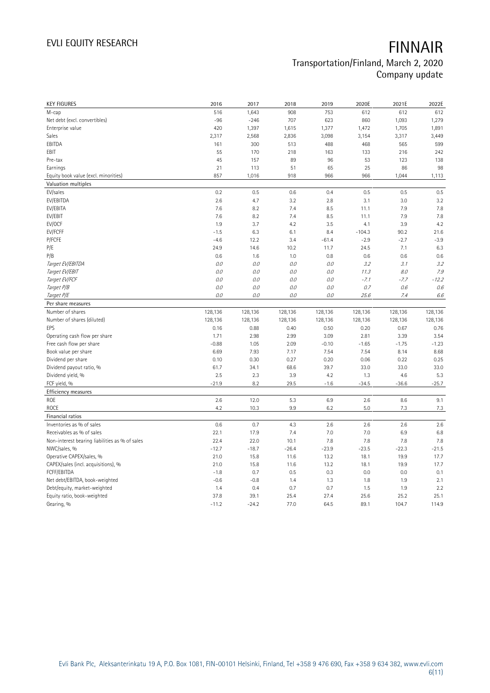| <b>KEY FIGURES</b>                                        | 2016            | 2017            | 2018         | 2019            | 2020E           | 2021E           | 2022E           |
|-----------------------------------------------------------|-----------------|-----------------|--------------|-----------------|-----------------|-----------------|-----------------|
| M-cap                                                     | 516             | 1,643           | 908          | 753             | 612             | 612             | 612             |
| Net debt (excl. convertibles)                             | $-96$           | $-246$          | 707          | 623             | 860             | 1,093           | 1,279           |
| Enterprise value                                          | 420             | 1,397           | 1,615        | 1,377           | 1,472           | 1,705           | 1,891           |
| Sales                                                     | 2,317           | 2,568           | 2,836        | 3,098           | 3,154           | 3,317           | 3,449           |
| EBITDA                                                    | 161             | 300             | 513          | 488             | 468             | 565             | 599             |
| EBIT                                                      | 55              | 170             | 218          | 163             | 133             | 216             | 242             |
| Pre-tax                                                   | 45              | 157             | 89           | 96              | 53              | 123             | 138             |
| Earnings                                                  | 21              | 113             | 51           | 65              | 25              | 86              | 98              |
| Equity book value (excl. minorities)                      | 857             | 1,016           | 918          | 966             | 966             | 1,044           | 1,113           |
| Valuation multiples                                       |                 |                 |              |                 |                 |                 |                 |
| EV/sales                                                  | 0.2             | 0.5             | 0.6          | 0.4             | 0.5             | 0.5             | 0.5             |
| EV/EBITDA                                                 | 2.6             | 4.7             | 3.2          | 2.8             | 3.1             | 3.0             | 3.2             |
| EV/EBITA                                                  | 7.6             | 8.2             | 7.4          | 8.5             | 11.1            | 7.9             | 7.8             |
| EV/EBIT                                                   | 7.6             | 8.2             | 7.4          | 8.5             | 11.1            | 7.9             | 7.8             |
| EV/OCF                                                    | 1.9             | 3.7             | 4.2          | 3.5             | 4.1             | 3.9             | 4.2             |
| EV/FCFF                                                   | $-1.5$          | 6.3             | 6.1          | 8.4             | $-104.3$        | 90.2            | 21.6            |
| P/FCFE                                                    | $-4.6$          | 12.2            | 3.4          | $-61.4$         | $-2.9$          | $-2.7$          | $-3.9$          |
| P/E                                                       | 24.9            | 14.6            | 10.2         | 11.7            | 24.5            | 7.1             | 6.3             |
| P/B                                                       | 0.6             | 1.6             | 1.0          | 0.8             | 0.6             | 0.6             | 0.6             |
| Target EV/EBITDA                                          | 0.0             | 0.0             | 0.0          | 0.0             | 3.2             | 3.1             | 3.2             |
| Target EV/EBIT                                            | 0.0             | 0.0             | 0.0          | 0.0             | 11.3            | 8.0             | 7.9             |
| Target EV/FCF                                             | $O.O$           | 0.0             | $O.O$        | O.O             | $-7.1$          | $-7.7$          | $-12.2$         |
| Target P/B                                                | $O.O$           | 0.0             | $0.0$        | 0.0             | 0.7             | 0.6             | 0.6             |
| Target P/E                                                | 0.0             | 0.0             | 0.0          | 0.0             | 25.6            | 7.4             | 6.6             |
| Per share measures                                        |                 |                 |              |                 |                 |                 |                 |
|                                                           |                 |                 |              |                 |                 |                 |                 |
|                                                           |                 |                 |              |                 |                 |                 |                 |
| Number of shares                                          | 128,136         | 128,136         | 128,136      | 128,136         | 128,136         | 128,136         | 128,136         |
| Number of shares (diluted)                                | 128,136         | 128,136         | 128,136      | 128,136         | 128,136         | 128,136         | 128,136         |
| EPS                                                       | 0.16            | 0.88            | 0.40         | 0.50            | 0.20            | 0.67            | 0.76            |
| Operating cash flow per share<br>Free cash flow per share | 1.71<br>$-0.88$ | 2.98<br>1.05    | 2.99<br>2.09 | 3.09<br>$-0.10$ | 2.81<br>$-1.65$ | 3.39<br>$-1.75$ | 3.54<br>$-1.23$ |
|                                                           | 6.69            | 7.93            |              | 7.54            | 7.54            | 8.14            | 8.68            |
| Book value per share                                      | 0.10            | 0.30            | 7.17<br>0.27 |                 |                 | 0.22            | 0.25            |
| Dividend per share                                        |                 |                 |              | 0.20            | 0.06            |                 |                 |
| Dividend payout ratio, %                                  | 61.7<br>2.5     | 34.1            | 68.6         | 39.7            | 33.0<br>1.3     | 33.0            | 33.0            |
| Dividend yield, %                                         | $-21.9$         | 2.3<br>8.2      | 3.9          | 4.2<br>$-1.6$   |                 | 4.6<br>$-36.6$  | 5.3             |
| FCF yield, %                                              |                 |                 | 29.5         |                 | $-34.5$         |                 | $-25.7$         |
| Efficiency measures                                       |                 |                 |              |                 |                 |                 |                 |
| ROE                                                       | 2.6             | 12.0            | 5.3          | 6.9             | 2.6             | 8.6             | 9.1             |
| <b>ROCE</b>                                               | 4.2             | 10.3            | 9.9          | 6.2             | 5.0             | 7.3             | 7.3             |
| Financial ratios                                          |                 |                 |              |                 |                 |                 |                 |
| Inventories as % of sales                                 | 0.6             | 0.7             | 4.3          | 2.6             | 2.6             | 2.6             | 2.6             |
| Receivables as % of sales                                 | 22.1            | 17.9            | 7.4          | 7.0             | 7.0             | 6.9             | 6.8             |
| Non-interest bearing liabilities as % of sales            | 22.4            | 22.0            | 10.1         | 7.8             | 7.8             | 7.8             | 7.8             |
| NWC/sales, %                                              | $-12.7$         | $-18.7$         | $-26.4$      | $-23.9$         | $-23.5$         | $-22.3$         | $-21.5$         |
| Operative CAPEX/sales, %                                  | 21.0            | 15.8            | 11.6         | 13.2            | 18.1            | 19.9            | 17.7            |
| CAPEX/sales (incl. acquisitions), %                       | 21.0            | 15.8            | 11.6         | 13.2            | 18.1            | 19.9            | 17.7            |
| FCFF/EBITDA                                               | $-1.8$          | 0.7             | 0.5          | 0.3             | 0.0             | 0.0             | 0.1             |
| Net debt/EBITDA, book-weighted                            | $-0.6$          | $-0.8$          | 1.4          | 1.3             | 1.8             | 1.9             | 2.1             |
| Debt/equity, market-weighted                              | 1.4             | 0.4             | 0.7          | 0.7             | 1.5             | 1.9             | 2.2             |
| Equity ratio, book-weighted<br>Gearing, %                 | 37.8<br>$-11.2$ | 39.1<br>$-24.2$ | 25.4<br>77.0 | 27.4<br>64.5    | 25.6<br>89.1    | 25.2<br>104.7   | 25.1<br>114.9   |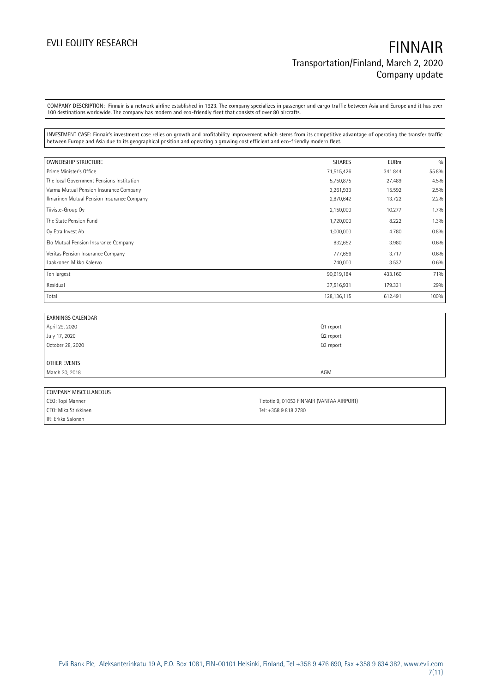COMPANY DESCRIPTION: Finnair is a network airline established in 1923. The company specializes in passenger and cargo traffic between Asia and Europe and it has over 100 destinations worldwide. The company has modern and eco-friendly fleet that consists of over 80 aircrafts.

INVESTMENT CASE: Finnair's investment case relies on growth and profitability improvement which stems from its competitive advantage of operating the transfer traffic between Europe and Asia due to its geographical position and operating a growing cost efficient and eco-friendly modern fleet.

| OWNERSHIP STRUCTURE                        | <b>SHARES</b> | <b>EURm</b> | 0/0   |
|--------------------------------------------|---------------|-------------|-------|
| Prime Minister's Office                    | 71,515,426    | 341.844     | 55.8% |
| The local Government Pensions Institution  | 5,750,875     | 27.489      | 4.5%  |
| Varma Mutual Pension Insurance Company     | 3,261,933     | 15.592      | 2.5%  |
| Ilmarinen Mutual Pension Insurance Company | 2,870,642     | 13.722      | 2.2%  |
| Tiiviste-Group Oy                          | 2,150,000     | 10.277      | 1.7%  |
| The State Pension Fund                     | 1,720,000     | 8.222       | 1.3%  |
| Oy Etra Invest Ab                          | 1,000,000     | 4.780       | 0.8%  |
| Elo Mutual Pension Insurance Company       | 832,652       | 3.980       | 0.6%  |
| Veritas Pension Insurance Company          | 777,656       | 3.717       | 0.6%  |
| Laakkonen Mikko Kalervo                    | 740,000       | 3.537       | 0.6%  |
| Ten largest                                | 90,619,184    | 433.160     | 71%   |
| Residual                                   | 37,516,931    | 179.331     | 29%   |
| Total                                      | 128, 136, 115 | 612.491     | 100%  |

| <b>EARNINGS CALENDAR</b> |           |  |
|--------------------------|-----------|--|
| April 29, 2020           | Q1 report |  |
| July 17, 2020            | Q2 report |  |
| October 28, 2020         | Q3 report |  |
|                          |           |  |
| OTHER EVENTS             |           |  |
| March 20, 2018           | AGM       |  |
|                          |           |  |
| COMPANY MISCELLANEOUS    |           |  |

| <b>LUIVIFAINT MIJLELLAINEUUJ</b> |                                            |
|----------------------------------|--------------------------------------------|
| CEO: Topi Manner                 | Tietotie 9, 01053 FINNAIR (VANTAA AIRPORT) |
| CFO: Mika Stirkkinen             | Tel: +358 9 818 2780                       |
| IIR: Erkka Salonen               |                                            |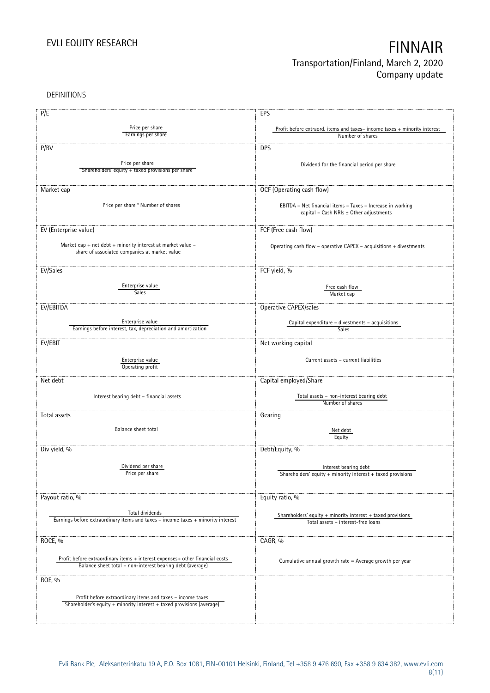DEFINITIONS

| P/E                                                                                                 | EPS                                                                      |
|-----------------------------------------------------------------------------------------------------|--------------------------------------------------------------------------|
|                                                                                                     |                                                                          |
| Price per share                                                                                     | Profit before extraord. items and taxes-income taxes + minority interest |
| Earnings per share                                                                                  | Number of shares                                                         |
| P/BV                                                                                                | <b>DPS</b>                                                               |
|                                                                                                     |                                                                          |
| Price per share                                                                                     | Dividend for the financial period per share                              |
| Shareholders' equity + taxed provisions per share                                                   |                                                                          |
|                                                                                                     |                                                                          |
| Market cap                                                                                          | OCF (Operating cash flow)                                                |
|                                                                                                     |                                                                          |
| Price per share * Number of shares                                                                  | EBITDA - Net financial items - Taxes - Increase in working               |
|                                                                                                     | capital - Cash NRIs ± Other adjustments                                  |
|                                                                                                     |                                                                          |
| EV (Enterprise value)                                                                               | FCF (Free cash flow)                                                     |
|                                                                                                     |                                                                          |
| Market cap + net debt + minority interest at market value -                                         | Operating cash flow - operative CAPEX - acquisitions + divestments       |
| share of associated companies at market value                                                       |                                                                          |
|                                                                                                     |                                                                          |
| EV/Sales                                                                                            | FCF yield, %                                                             |
|                                                                                                     |                                                                          |
| Enterprise value                                                                                    | Free cash flow                                                           |
| <b>Sales</b>                                                                                        | Market cap                                                               |
|                                                                                                     |                                                                          |
| EV/EBITDA                                                                                           | Operative CAPEX/sales                                                    |
| Enterprise value                                                                                    | Capital expenditure - divestments - acquisitions                         |
| Earnings before interest, tax, depreciation and amortization                                        | Sales                                                                    |
|                                                                                                     |                                                                          |
| EV/EBIT                                                                                             | Net working capital                                                      |
|                                                                                                     |                                                                          |
| Enterprise value                                                                                    | Current assets - current liabilities                                     |
| Operating profit                                                                                    |                                                                          |
| Net debt                                                                                            | Capital employed/Share                                                   |
|                                                                                                     |                                                                          |
|                                                                                                     | Total assets - non-interest bearing debt                                 |
| Interest bearing debt - financial assets                                                            | Number of shares                                                         |
|                                                                                                     |                                                                          |
| Total assets                                                                                        | Gearing                                                                  |
| Balance sheet total                                                                                 |                                                                          |
|                                                                                                     | Net debt<br>Equity                                                       |
|                                                                                                     |                                                                          |
| Div yield, %                                                                                        | Debt/Equity, %                                                           |
|                                                                                                     |                                                                          |
| Dividend per share                                                                                  | Interest bearing debt                                                    |
| Price per share                                                                                     | Shareholders' equity $+$ minority interest $+$ taxed provisions          |
|                                                                                                     |                                                                          |
|                                                                                                     |                                                                          |
| Payout ratio, %                                                                                     | Equity ratio, %                                                          |
|                                                                                                     |                                                                          |
| Total dividends<br>Earnings before extraordinary items and taxes - income taxes + minority interest | Shareholders' equity $+$ minority interest $+$ taxed provisions          |
|                                                                                                     | Total assets - interest-free loans                                       |
|                                                                                                     |                                                                          |
| ROCE, %                                                                                             | CAGR, %                                                                  |
|                                                                                                     |                                                                          |
| Profit before extraordinary items + interest expenses+ other financial costs                        |                                                                          |
| Balance sheet total - non-interest bearing debt (average)                                           | Cumulative annual growth rate = Average growth per year                  |
|                                                                                                     |                                                                          |
| ROE, %                                                                                              |                                                                          |
|                                                                                                     |                                                                          |
| Profit before extraordinary items and taxes - income taxes                                          |                                                                          |
| Shareholder's equity + minority interest + taxed provisions (average)                               |                                                                          |
|                                                                                                     |                                                                          |
|                                                                                                     |                                                                          |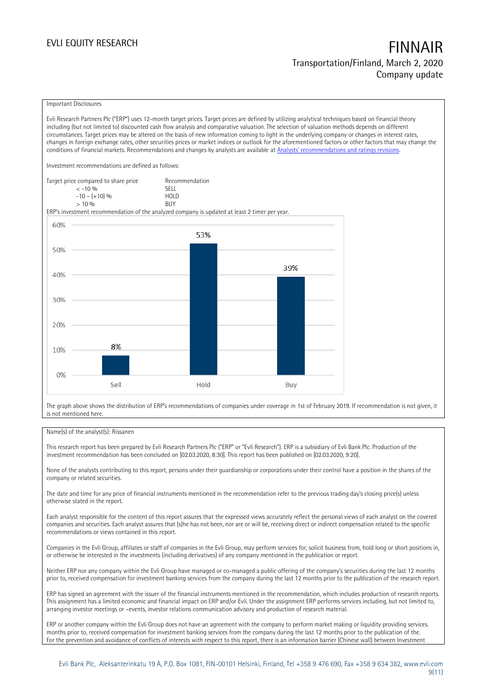### Important Disclosures

Evli Research Partners Plc ("ERP") uses 12-month target prices. Target prices are defined by utilizing analytical techniques based on financial theory including (but not limited to) discounted cash flow analysis and comparative valuation. The selection of valuation methods depends on different circumstances. Target prices may be altered on the basis of new information coming to light in the underlying company or changes in interest rates, changes in foreign exchange rates, other securities prices or market indices or outlook for the aforementioned factors or other factors that may change the conditions of financial markets. Recommendations and changes by analysts are available at [Analysts' recommendations and](https://research.evli.com/JasperAllModels.action?authParam=key;461&authParam=x;G3rNagWrtf7K&authType=3) ratings revisions.

Investment recommendations are defined as follows:

| Target price compared to share price | Recommendation                |
|--------------------------------------|-------------------------------|
| $<-10.96$                            | <b>SELL</b>                   |
| $-10 - (+10)$ %                      | H <sub>O</sub> I <sub>D</sub> |
| $> 10\%$                             | <b>BUY</b>                    |

ERP's investment recommendation of the analyzed company is updated at least 2 timer per year.



The graph above shows the distribution of ERP's recommendations of companies under coverage in 1st of February 2019. If recommendation is not given, it is not mentioned here.

### Name(s) of the analyst(s): Rissanen

This research report has been prepared by Evli Research Partners Plc ("ERP" or "Evli Research"). ERP is a subsidiary of Evli Bank Plc. Production of the investment recommendation has been concluded on [02.03.2020, 8:30]. This report has been published on [02.03.2020, 9:20].

None of the analysts contributing to this report, persons under their guardianship or corporations under their control have a position in the shares of the company or related securities.

The date and time for any price of financial instruments mentioned in the recommendation refer to the previous trading day's closing price(s) unless otherwise stated in the report.

Each analyst responsible for the content of this report assures that the expressed views accurately reflect the personal views of each analyst on the covered companies and securities. Each analyst assures that (s)he has not been, nor are or will be, receiving direct or indirect compensation related to the specific recommendations or views contained in this report.

Companies in the Evli Group, affiliates or staff of companies in the Evli Group, may perform services for, solicit business from, hold long or short positions in, or otherwise be interested in the investments (including derivatives) of any company mentioned in the publication or report.

Neither ERP nor any company within the Evli Group have managed or co-managed a public offering of the company's securities during the last 12 months prior to, received compensation for investment banking services from the company during the last 12 months prior to the publication of the research report.

ERP has signed an agreement with the issuer of the financial instruments mentioned in the recommendation, which includes production of research reports. This assignment has a limited economic and financial impact on ERP and/or Evli. Under the assignment ERP performs services including, but not limited to, arranging investor meetings or –events, investor relations communication advisory and production of research material.

ERP or another company within the Evli Group does not have an agreement with the company to perform market making or liquidity providing services. months prior to, received compensation for investment banking services from the company during the last 12 months prior to the publication of the. For the prevention and avoidance of conflicts of interests with respect to this report, there is an information barrier (Chinese wall) between Investment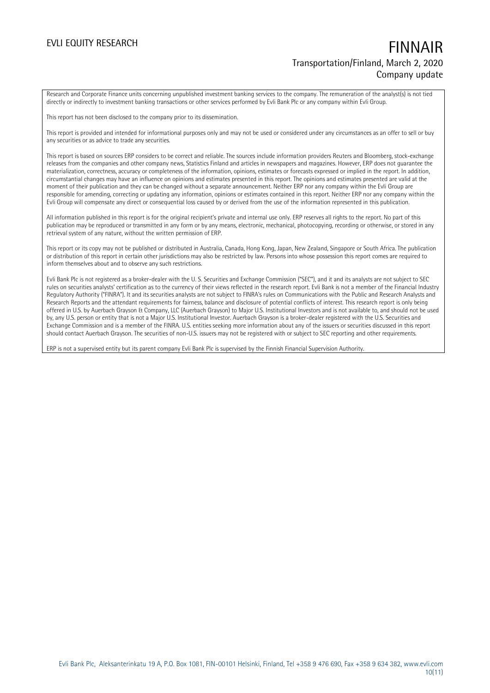Research and Corporate Finance units concerning unpublished investment banking services to the company. The remuneration of the analyst(s) is not tied directly or indirectly to investment banking transactions or other services performed by Evli Bank Plc or any company within Evli Group.

This report has not been disclosed to the company prior to its dissemination.

This report is provided and intended for informational purposes only and may not be used or considered under any circumstances as an offer to sell or buy any securities or as advice to trade any securities.

This report is based on sources ERP considers to be correct and reliable. The sources include information providers Reuters and Bloomberg, stock-exchange releases from the companies and other company news, Statistics Finland and articles in newspapers and magazines. However, ERP does not guarantee the materialization, correctness, accuracy or completeness of the information, opinions, estimates or forecasts expressed or implied in the report. In addition, circumstantial changes may have an influence on opinions and estimates presented in this report. The opinions and estimates presented are valid at the moment of their publication and they can be changed without a separate announcement. Neither ERP nor any company within the Evli Group are responsible for amending, correcting or updating any information, opinions or estimates contained in this report. Neither ERP nor any company within the Evli Group will compensate any direct or consequential loss caused by or derived from the use of the information represented in this publication.

All information published in this report is for the original recipient's private and internal use only. ERP reserves all rights to the report. No part of this publication may be reproduced or transmitted in any form or by any means, electronic, mechanical, photocopying, recording or otherwise, or stored in any retrieval system of any nature, without the written permission of ERP.

This report or its copy may not be published or distributed in Australia, Canada, Hong Kong, Japan, New Zealand, Singapore or South Africa. The publication or distribution of this report in certain other jurisdictions may also be restricted by law. Persons into whose possession this report comes are required to inform themselves about and to observe any such restrictions.

Evli Bank Plc is not registered as a broker-dealer with the U. S. Securities and Exchange Commission ("SEC"), and it and its analysts are not subject to SEC rules on securities analysts' certification as to the currency of their views reflected in the research report. Evli Bank is not a member of the Financial Industry Regulatory Authority ("FINRA"). It and its securities analysts are not subject to FINRA's rules on Communications with the Public and Research Analysts and Research Reports and the attendant requirements for fairness, balance and disclosure of potential conflicts of interest. This research report is only being offered in U.S. by Auerbach Grayson & Company, LLC (Auerbach Grayson) to Major U.S. Institutional Investors and is not available to, and should not be used by, any U.S. person or entity that is not a Major U.S. Institutional Investor. Auerbach Grayson is a broker-dealer registered with the U.S. Securities and Exchange Commission and is a member of the FINRA. U.S. entities seeking more information about any of the issuers or securities discussed in this report should contact Auerbach Grayson. The securities of non-U.S. issuers may not be registered with or subject to SEC reporting and other requirements.

ERP is not a supervised entity but its parent company Evli Bank Plc is supervised by the Finnish Financial Supervision Authority.